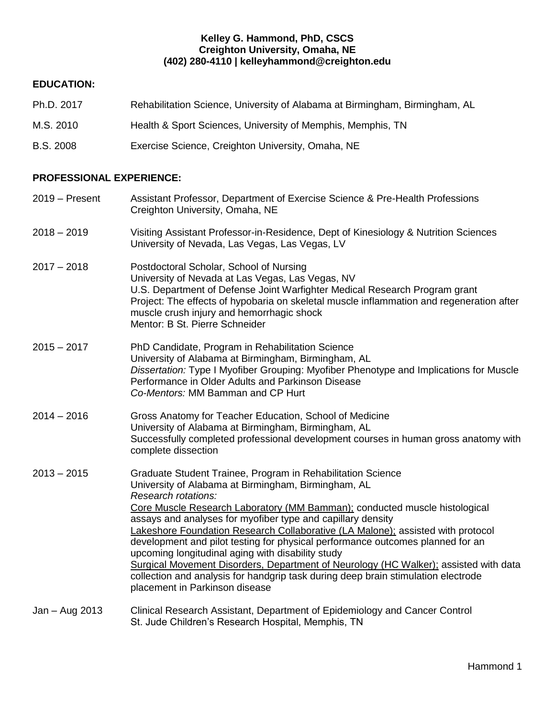### **Kelley G. Hammond, PhD, CSCS Creighton University, Omaha, NE (402) 280-4110 | kelleyhammond@creighton.edu**

### **EDUCATION:**

- Ph.D. 2017 Rehabilitation Science, University of Alabama at Birmingham, Birmingham, AL
- M.S. 2010 Health & Sport Sciences, University of Memphis, Memphis, TN
- B.S. 2008 Exercise Science, Creighton University, Omaha, NE

### **PROFESSIONAL EXPERIENCE:**

2019 – Present Assistant Professor, Department of Exercise Science & Pre-Health Professions Creighton University, Omaha, NE 2018 – 2019 Visiting Assistant Professor-in-Residence, Dept of Kinesiology & Nutrition Sciences University of Nevada, Las Vegas, Las Vegas, LV 2017 – 2018 Postdoctoral Scholar, School of Nursing University of Nevada at Las Vegas, Las Vegas, NV U.S. Department of Defense Joint Warfighter Medical Research Program grant Project: The effects of hypobaria on skeletal muscle inflammation and regeneration after muscle crush injury and hemorrhagic shock Mentor: B St. Pierre Schneider 2015 – 2017 PhD Candidate, Program in Rehabilitation Science University of Alabama at Birmingham, Birmingham, AL *Dissertation:* Type I Myofiber Grouping: Myofiber Phenotype and Implications for Muscle Performance in Older Adults and Parkinson Disease *Co-Mentors:* MM Bamman and CP Hurt 2014 – 2016 Gross Anatomy for Teacher Education, School of Medicine University of Alabama at Birmingham, Birmingham, AL Successfully completed professional development courses in human gross anatomy with complete dissection 2013 – 2015 Graduate Student Trainee, Program in Rehabilitation Science University of Alabama at Birmingham, Birmingham, AL *Research rotations:* Core Muscle Research Laboratory (MM Bamman); conducted muscle histological assays and analyses for myofiber type and capillary density Lakeshore Foundation Research Collaborative (LA Malone); assisted with protocol development and pilot testing for physical performance outcomes planned for an upcoming longitudinal aging with disability study Surgical Movement Disorders, Department of Neurology (HC Walker); assisted with data collection and analysis for handgrip task during deep brain stimulation electrode placement in Parkinson disease Jan – Aug 2013 Clinical Research Assistant, Department of Epidemiology and Cancer Control St. Jude Children's Research Hospital, Memphis, TN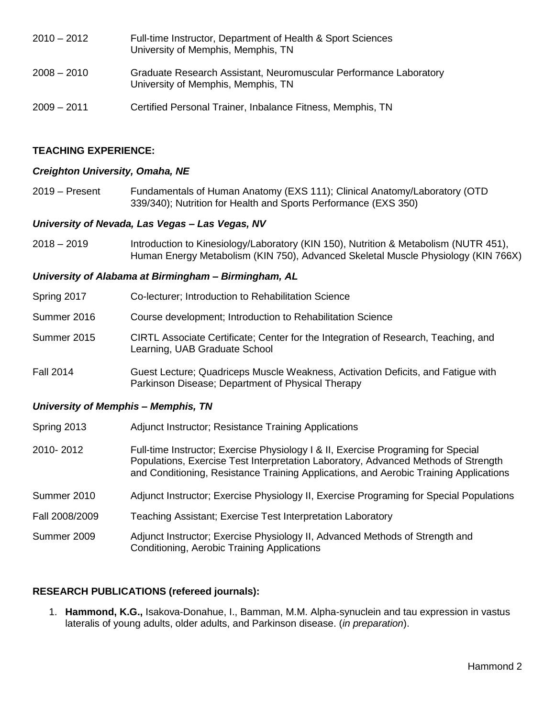2010 – 2012 Full-time Instructor, Department of Health & Sport Sciences University of Memphis, Memphis, TN 2008 – 2010 Graduate Research Assistant, Neuromuscular Performance Laboratory University of Memphis, Memphis, TN 2009 – 2011 Certified Personal Trainer, Inbalance Fitness, Memphis, TN

### **TEACHING EXPERIENCE:**

#### *Creighton University, Omaha, NE*

2019 – Present Fundamentals of Human Anatomy (EXS 111); Clinical Anatomy/Laboratory (OTD 339/340); Nutrition for Health and Sports Performance (EXS 350)

### *University of Nevada, Las Vegas – Las Vegas, NV*

2018 – 2019 Introduction to Kinesiology/Laboratory (KIN 150), Nutrition & Metabolism (NUTR 451), Human Energy Metabolism (KIN 750), Advanced Skeletal Muscle Physiology (KIN 766X)

#### *University of Alabama at Birmingham – Birmingham, AL*

| Spring 2017      | Co-lecturer; Introduction to Rehabilitation Science                                                                                   |
|------------------|---------------------------------------------------------------------------------------------------------------------------------------|
| Summer 2016      | Course development; Introduction to Rehabilitation Science                                                                            |
| Summer 2015      | CIRTL Associate Certificate; Center for the Integration of Research, Teaching, and<br>Learning, UAB Graduate School                   |
| <b>Fall 2014</b> | Guest Lecture; Quadriceps Muscle Weakness, Activation Deficits, and Fatigue with<br>Parkinson Disease; Department of Physical Therapy |

### *University of Memphis – Memphis, TN*

- Spring 2013 Adjunct Instructor; Resistance Training Applications
- 2010- 2012 Full-time Instructor; Exercise Physiology I & II, Exercise Programing for Special Populations, Exercise Test Interpretation Laboratory, Advanced Methods of Strength and Conditioning, Resistance Training Applications, and Aerobic Training Applications
- Summer 2010 Adjunct Instructor; Exercise Physiology II, Exercise Programing for Special Populations
- Fall 2008/2009 Teaching Assistant; Exercise Test Interpretation Laboratory
- Summer 2009 Adjunct Instructor; Exercise Physiology II, Advanced Methods of Strength and Conditioning, Aerobic Training Applications

### **RESEARCH PUBLICATIONS (refereed journals):**

1. **Hammond, K.G.,** Isakova-Donahue, I., Bamman, M.M. Alpha-synuclein and tau expression in vastus lateralis of young adults, older adults, and Parkinson disease. (*in preparation*).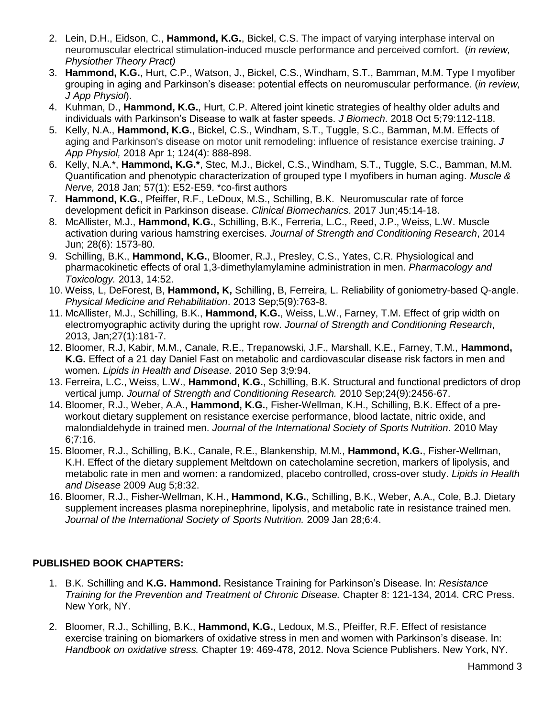- 2. Lein, D.H., Eidson, C., **Hammond, K.G.**, Bickel, C.S. The impact of varying interphase interval on neuromuscular electrical stimulation-induced muscle performance and perceived comfort. (*in review, Physiother Theory Pract)*
- 3. **Hammond, K.G.**, Hurt, C.P., Watson, J., Bickel, C.S., Windham, S.T., Bamman, M.M. Type I myofiber grouping in aging and Parkinson's disease: potential effects on neuromuscular performance. (*in review, J App Physiol*).
- 4. Kuhman, D., **Hammond, K.G.**, Hurt, C.P. Altered joint kinetic strategies of healthy older adults and individuals with Parkinson's Disease to walk at faster speeds. *J Biomech*. 2018 Oct 5;79:112-118.
- 5. Kelly, N.A., **Hammond, K.G.**, Bickel, C.S., Windham, S.T., Tuggle, S.C., Bamman, M.M. Effects of aging and Parkinson's disease on motor unit remodeling: influence of resistance exercise training. *J App Physiol,* 2018 Apr 1; 124(4): 888-898.
- 6. Kelly, N.A.\*, **Hammond, K.G.\***, Stec, M.J., Bickel, C.S., Windham, S.T., Tuggle, S.C., Bamman, M.M. Quantification and phenotypic characterization of grouped type I myofibers in human aging. *Muscle & Nerve,* 2018 Jan; 57(1): E52-E59. \*co-first authors
- 7. **Hammond, K.G.**, Pfeiffer, R.F., LeDoux, M.S., Schilling, B.K. Neuromuscular rate of force development deficit in Parkinson disease. *Clinical Biomechanics*. 2017 Jun;45:14-18.
- 8. McAllister, M.J., **Hammond, K.G.**, Schilling, B.K., Ferreria, L.C., Reed, J.P., Weiss, L.W. Muscle activation during various hamstring exercises. *Journal of Strength and Conditioning Research*, 2014 Jun; 28(6): 1573-80.
- 9. Schilling, B.K., **Hammond, K.G.**, Bloomer, R.J., Presley, C.S., Yates, C.R. Physiological and pharmacokinetic effects of oral 1,3-dimethylamylamine administration in men. *Pharmacology and Toxicology.* 2013, 14:52.
- 10. Weiss, L, DeForest, B, **Hammond, K,** Schilling, B, Ferreira, L. Reliability of goniometry-based Q-angle. *Physical Medicine and Rehabilitation*. 2013 Sep;5(9):763-8.
- 11. McAllister, M.J., Schilling, B.K., **Hammond, K.G.**, Weiss, L.W., Farney, T.M. Effect of grip width on electromyographic activity during the upright row. *Journal of Strength and Conditioning Research*, 2013, Jan;27(1):181-7.
- 12. Bloomer, R.J, Kabir, M.M., Canale, R.E., Trepanowski, J.F., Marshall, K.E., Farney, T.M., **Hammond, K.G.** Effect of a 21 day Daniel Fast on metabolic and cardiovascular disease risk factors in men and women. *Lipids in Health and Disease.* 2010 Sep 3;9:94.
- 13. Ferreira, L.C., Weiss, L.W., **Hammond, K.G.**, Schilling, B.K. Structural and functional predictors of drop vertical jump. *Journal of Strength and Conditioning Research.* 2010 Sep;24(9):2456-67.
- 14. Bloomer, R.J., Weber, A.A., **Hammond, K.G.**, Fisher-Wellman, K.H., Schilling, B.K. Effect of a preworkout dietary supplement on resistance exercise performance, blood lactate, nitric oxide, and malondialdehyde in trained men. *Journal of the International Society of Sports Nutrition.* 2010 May 6;7:16.
- 15. Bloomer, R.J., Schilling, B.K., Canale, R.E., Blankenship, M.M., **Hammond, K.G.**, Fisher-Wellman, K.H. [Effect of the dietary supplement Meltdown on catecholamine secretion, markers of lipolysis, and](http://www.ncbi.nlm.nih.gov/pubmed/19656409?itool=EntrezSystem2.PEntrez.Pubmed.Pubmed_ResultsPanel.Pubmed_RVDocSum&ordinalpos=1)  [metabolic rate in men and women: a randomized, placebo controlled, cross-over study.](http://www.ncbi.nlm.nih.gov/pubmed/19656409?itool=EntrezSystem2.PEntrez.Pubmed.Pubmed_ResultsPanel.Pubmed_RVDocSum&ordinalpos=1) *Lipids in Health and Disease* 2009 Aug 5;8:32.
- 16. Bloomer, R.J., Fisher-Wellman, K.H., **Hammond, K.G.**, Schilling, B.K., Weber, A.A., Cole, B.J. Dietary supplement increases plasma norepinephrine, lipolysis, and metabolic rate in resistance trained men. *Journal of the International Society of Sports Nutrition.* 2009 Jan 28;6:4.

# **PUBLISHED BOOK CHAPTERS:**

- 1. B.K. Schilling and **K.G. Hammond.** Resistance Training for Parkinson's Disease. In: *Resistance Training for the Prevention and Treatment of Chronic Disease.* Chapter 8: 121-134, 2014. CRC Press. New York, NY.
- 2. Bloomer, R.J., Schilling, B.K., **Hammond, K.G.**, Ledoux, M.S., Pfeiffer, R.F. Effect of resistance exercise training on biomarkers of oxidative stress in men and women with Parkinson's disease. In: *Handbook on oxidative stress.* Chapter 19: 469-478, 2012. Nova Science Publishers. New York, NY.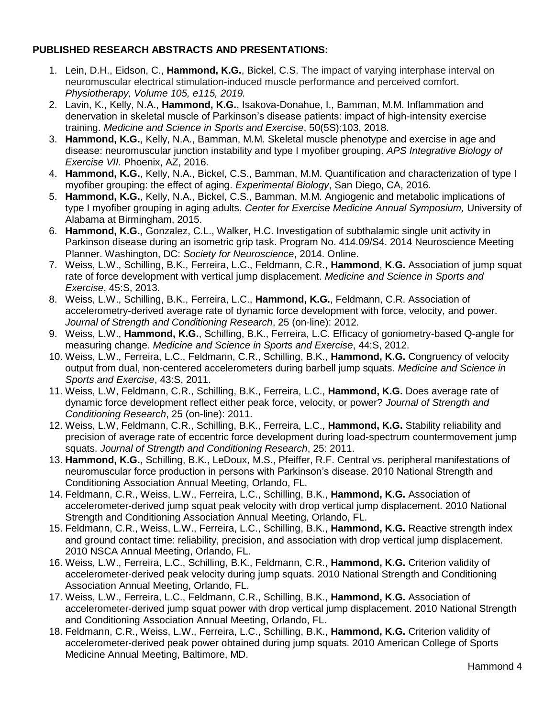## **PUBLISHED RESEARCH ABSTRACTS AND PRESENTATIONS:**

- 1. Lein, D.H., Eidson, C., **Hammond, K.G.**, Bickel, C.S. The impact of varying interphase interval on neuromuscular electrical stimulation-induced muscle performance and perceived comfort. *Physiotherapy, Volume 105, e115, 2019.*
- 2. Lavin, K., Kelly, N.A., **Hammond, K.G.**, Isakova-Donahue, I., Bamman, M.M. Inflammation and denervation in skeletal muscle of Parkinson's disease patients: impact of high-intensity exercise training. *Medicine and Science in Sports and Exercise*, 50(5S):103, 2018.
- 3. **Hammond, K.G.**, Kelly, N.A., Bamman, M.M. Skeletal muscle phenotype and exercise in age and disease: neuromuscular junction instability and type I myofiber grouping. *APS Integrative Biology of Exercise VII.* Phoenix, AZ, 2016.
- 4. **Hammond, K.G.**, Kelly, N.A., Bickel, C.S., Bamman, M.M. Quantification and characterization of type I myofiber grouping: the effect of aging. *Experimental Biology*, San Diego, CA, 2016.
- 5. **Hammond, K.G.**, Kelly, N.A., Bickel, C.S., Bamman, M.M. Angiogenic and metabolic implications of type I myofiber grouping in aging adults. *Center for Exercise Medicine Annual Symposium,* University of Alabama at Birmingham, 2015.
- 6. **Hammond, K.G.**, Gonzalez, C.L., Walker, H.C. Investigation of subthalamic single unit activity in Parkinson disease during an isometric grip task. Program No. 414.09/S4. 2014 Neuroscience Meeting Planner. Washington, DC: *Society for Neuroscience*, 2014. Online.
- 7. Weiss, L.W., Schilling, B.K., Ferreira, L.C., Feldmann, C.R., **Hammond**, **K.G.** Association of jump squat rate of force development with vertical jump displacement. *Medicine and Science in Sports and Exercise*, 45:S, 2013.
- 8. Weiss, L.W., Schilling, B.K., Ferreira, L.C., **Hammond, K.G.**, Feldmann, C.R. Association of accelerometry-derived average rate of dynamic force development with force, velocity, and power. *Journal of Strength and Conditioning Research*, 25 (on-line): 2012.
- 9. Weiss, L.W., **Hammond, K.G.**, Schilling, B.K., Ferreira, L.C. Efficacy of goniometry-based Q-angle for measuring change. *Medicine and Science in Sports and Exercise*, 44:S, 2012.
- 10. Weiss, L.W., Ferreira, L.C., Feldmann, C.R., Schilling, B.K., **Hammond, K.G.** Congruency of velocity output from dual, non-centered accelerometers during barbell jump squats. *Medicine and Science in Sports and Exercise*, 43:S, 2011.
- 11. Weiss, L.W, Feldmann, C.R., Schilling, B.K., Ferreira, L.C., **Hammond, K.G.** Does average rate of dynamic force development reflect either peak force, velocity, or power? *Journal of Strength and Conditioning Research*, 25 (on-line): 2011.
- 12. Weiss, L.W, Feldmann, C.R., Schilling, B.K., Ferreira, L.C., **Hammond, K.G.** Stability reliability and precision of average rate of eccentric force development during load-spectrum countermovement jump squats. *Journal of Strength and Conditioning Research*, 25: 2011.
- 13. **Hammond, K.G.**, Schilling, B.K., LeDoux, M.S., Pfeiffer, R.F. Central vs. peripheral manifestations of neuromuscular force production in persons with Parkinson's disease. 2010 National Strength and Conditioning Association Annual Meeting, Orlando, FL.
- 14. Feldmann, C.R., Weiss, L.W., Ferreira, L.C., Schilling, B.K., **Hammond, K.G.** Association of accelerometer-derived jump squat peak velocity with drop vertical jump displacement. 2010 National Strength and Conditioning Association Annual Meeting, Orlando, FL.
- 15. Feldmann, C.R., Weiss, L.W., Ferreira, L.C., Schilling, B.K., **Hammond, K.G.** Reactive strength index and ground contact time: reliability, precision, and association with drop vertical jump displacement. 2010 NSCA Annual Meeting, Orlando, FL.
- 16. Weiss, L.W., Ferreira, L.C., Schilling, B.K., Feldmann, C.R., **Hammond, K.G.** Criterion validity of accelerometer-derived peak velocity during jump squats. 2010 National Strength and Conditioning Association Annual Meeting, Orlando, FL.
- 17. Weiss, L.W., Ferreira, L.C., Feldmann, C.R., Schilling, B.K., **Hammond, K.G.** Association of accelerometer-derived jump squat power with drop vertical jump displacement. 2010 National Strength and Conditioning Association Annual Meeting, Orlando, FL.
- 18. Feldmann, C.R., Weiss, L.W., Ferreira, L.C., Schilling, B.K., **Hammond, K.G.** Criterion validity of accelerometer-derived peak power obtained during jump squats. 2010 American College of Sports Medicine Annual Meeting, Baltimore, MD.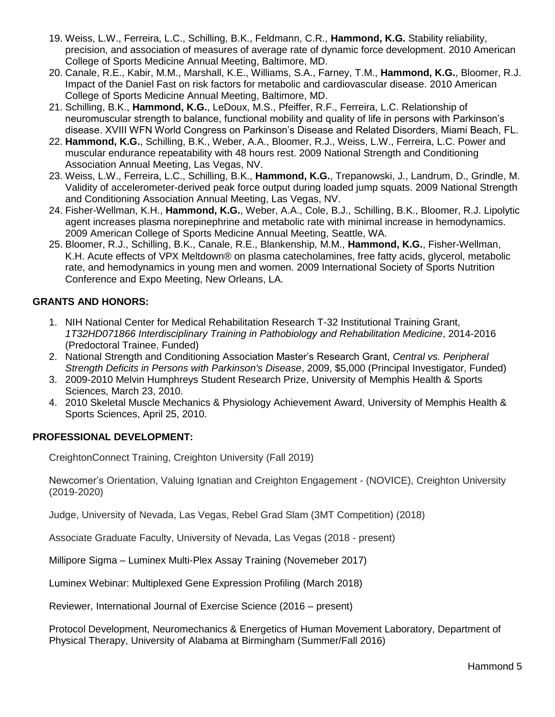- 19. Weiss, L.W., Ferreira, L.C., Schilling, B.K., Feldmann, C.R., **Hammond, K.G.** Stability reliability, precision, and association of measures of average rate of dynamic force development. 2010 American College of Sports Medicine Annual Meeting, Baltimore, MD.
- 20. Canale, R.E., Kabir, M.M., Marshall, K.E., Williams, S.A., Farney, T.M., **Hammond, K.G.**, Bloomer, R.J. Impact of the Daniel Fast on risk factors for metabolic and cardiovascular disease. 2010 American College of Sports Medicine Annual Meeting, Baltimore, MD.
- 21. Schilling, B.K., **Hammond, K.G.**, LeDoux, M.S., Pfeiffer, R.F., Ferreira, L.C. Relationship of neuromuscular strength to balance, functional mobility and quality of life in persons with Parkinson's disease. XVIII WFN World Congress on Parkinson's Disease and Related Disorders, Miami Beach, FL.
- 22. **Hammond, K.G.**, Schilling, B.K., Weber, A.A., Bloomer, R.J., Weiss, L.W., Ferreira, L.C. Power and muscular endurance repeatability with 48 hours rest. 2009 National Strength and Conditioning Association Annual Meeting, Las Vegas, NV.
- 23. Weiss, L.W., Ferreira, L.C., Schilling, B.K., **Hammond, K.G.**, Trepanowski, J., Landrum, D., Grindle, M. Validity of accelerometer-derived peak force output during loaded jump squats. 2009 National Strength and Conditioning Association Annual Meeting, Las Vegas, NV.
- 24. Fisher-Wellman, K.H., **Hammond, K.G.**, Weber, A.A., Cole, B.J., Schilling, B.K., Bloomer, R.J. Lipolytic agent increases plasma norepinephrine and metabolic rate with minimal increase in hemodynamics. 2009 American College of Sports Medicine Annual Meeting, Seattle, WA.
- 25. Bloomer, R.J., Schilling, B.K., Canale, R.E., Blankenship, M.M., **Hammond, K.G.**, Fisher-Wellman, K.H. Acute effects of VPX Meltdown® on plasma catecholamines, free fatty acids, glycerol, metabolic rate, and hemodynamics in young men and women. 2009 International Society of Sports Nutrition Conference and Expo Meeting, New Orleans, LA.

# **GRANTS AND HONORS:**

- 1. NIH National Center for Medical Rehabilitation Research T-32 Institutional Training Grant, *1T32HD071866 Interdisciplinary Training in Pathobiology and Rehabilitation Medicine*, 2014-2016 (Predoctoral Trainee, Funded)
- 2. National Strength and Conditioning Association Master's Research Grant, *Central vs. Peripheral Strength Deficits in Persons with Parkinson's Disease*, 2009, \$5,000 (Principal Investigator, Funded)
- 3. 2009-2010 Melvin Humphreys Student Research Prize, University of Memphis Health & Sports Sciences, March 23, 2010.
- 4. 2010 Skeletal Muscle Mechanics & Physiology Achievement Award, University of Memphis Health & Sports Sciences, April 25, 2010.

# **PROFESSIONAL DEVELOPMENT:**

CreightonConnect Training, Creighton University (Fall 2019)

Newcomer's Orientation, Valuing Ignatian and Creighton Engagement - (NOVICE), Creighton University (2019-2020)

Judge, University of Nevada, Las Vegas, Rebel Grad Slam (3MT Competition) (2018)

Associate Graduate Faculty, University of Nevada, Las Vegas (2018 - present)

Millipore Sigma – Luminex Multi-Plex Assay Training (Novemeber 2017)

Luminex Webinar: Multiplexed Gene Expression Profiling (March 2018)

Reviewer, International Journal of Exercise Science (2016 – present)

Protocol Development, Neuromechanics & Energetics of Human Movement Laboratory, Department of Physical Therapy, University of Alabama at Birmingham (Summer/Fall 2016)